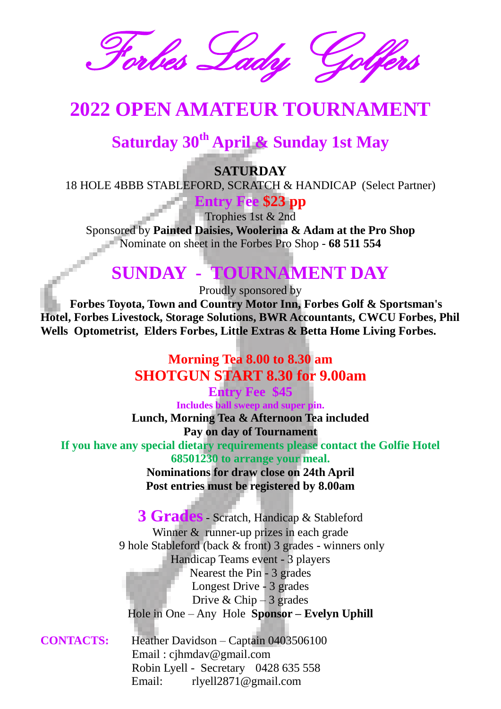Forbes Lady

# **2022 OPEN AMATEUR TOURNAMENT**

# **Saturday 30th April & Sunday 1st May**

**SATURDAY**

18 HOLE 4BBB STABLEFORD, SCRATCH & HANDICAP (Select Partner)

**Entry Fee \$23 pp**

Trophies 1st & 2nd

Sponsored by **Painted Daisies, Woolerina & Adam at the Pro Shop** Nominate on sheet in the Forbes Pro Shop - **68 511 554**

## **SUNDAY - TOURNAMENT DAY**

Proudly sponsored by

 **Forbes Toyota, Town and Country Motor Inn, Forbes Golf & Sportsman's Hotel, Forbes Livestock, Storage Solutions, BWR Accountants, CWCU Forbes, Phil Wells Optometrist, Elders Forbes, Little Extras & Betta Home Living Forbes.** 

> **Morning Tea 8.00 to 8.30 am SHOTGUN START 8.30 for 9.00am**

**Entry Fee \$45 Includes ball sweep and super pin. Lunch, Morning Tea & Afternoon Tea included Pay on day of Tournament If you have any special dietary requirements please contact the Golfie Hotel 68501230 to arrange your meal.**

**Nominations for draw close on 24th April Post entries must be registered by 8.00am**

**3 Grades**- Scratch, Handicap & Stableford Winner & runner-up prizes in each grade 9 hole Stableford (back & front) 3 grades - winners only Handicap Teams event - 3 players Nearest the Pin - 3 grades Longest Drive - 3 grades Drive & Chip  $-3$  grades Hole in One – Any Hole **Sponsor – Evelyn Uphill**

**CONTACTS:** Heather Davidson – Captain 0403506100 Email : cjhmdav@gmail.com Robin Lyell - Secretary 0428 635 558 Email: rlyell2871@gmail.com